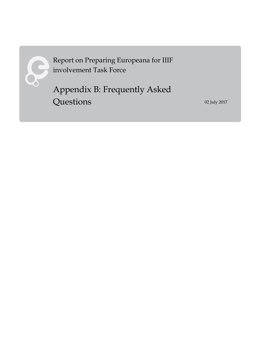

Report on Preparing Europeana for IIIF involvement Task Force

Appendix B: Frequently Asked **Questions** 

02 July 2017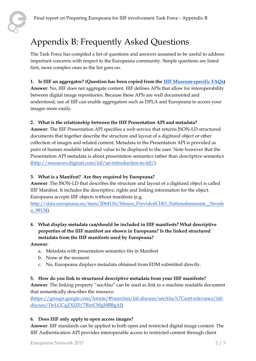# Appendix B: Frequently Asked Questions

The Task Force has compiled a list of questions and answers assumed to be useful to address important concerns with respect to the Europeana community. Simple questions are listed first, more complex ones as the list goes on.

### **1. Is IIIF an aggregator? (Question has been copied from the [IIIF Museum-specific FAQs\)](https://docs.google.com/document/d/1yXBvJ9mPhLgo81npqxbLV2MImRXYXtfBBYtW6TzeNAY/)**

**Answer**: No, IIIF does not aggregate content. IIIF defines APIs that allow for interoperability between digital image repositories. Because these APIs are well documented and understood, use of IIIF can enable aggregators such as DPLA and Europeana to access your images more easily.

### **2. What is the relationship between the IIIF Presentation API and metadata?**

**Answer**: The IIIF Presentation API specifies a web service that returns JSON-LD structured documents that together describe the structure and layout of a digitized object or other collection of images and related content. Metadata in the Presentation API is provided as pairs of human readable label and value to be displayed to the user. Note however that the Presentation API metadata is about presentation semantics rather than descriptive semantics [\(http://resources.digirati.com/iiif/an-introduction-to-iiif/\)](http://resources.digirati.com/iiif/an-introduction-to-iiif/).

### **3. What is a Manifest? Are they required by Europeana?**

**Answer**: The JSON-LD that describes the structure and layout of a digitized object is called IIIF Manifest. It includes the descriptive, rights and linking information for the object. Europeana accepts IIIF objects without manifests (e.g.

[http://data.europeana.eu/item/2064116/Museu\\_ProvidedCHO\\_Nationalmuseum\\_\\_Swede](http://data.europeana.eu/item/2064116/Museu_ProvidedCHO_Nationalmuseum__Sweden_98134) [n\\_98134\)](http://data.europeana.eu/item/2064116/Museu_ProvidedCHO_Nationalmuseum__Sweden_98134).

# **4. What display metadata can/should be included in IIIF manifests? What descriptive properties of the IIIF manifest are shown in Europeana? Is the linked structured metadata from the IIIF manifests used by Europeana?**

**Answer**:

- a. Metadata with presentation semantics fits in Manifest
- b. None at the moment.
- c. No. Europeana displays metadata obtained from EDM submitted directly.

#### **5. How do you link to structured descriptive metadata from your IIIF manifests?**

**Answer**: The linking property "seeAlso" can be used as link to a machine readable document that semantically describes the resource.

[\(https://groups.google.com/forum/#!searchin/iiif-discuss/seeAlso%7Csort:relevance/iiif](https://groups.google.com/forum/#!searchin/iiif-discuss/seeAlso%7Csort:relevance/iiif-discuss/DeLGCqZXJZ0/7RmCMgMBBgAJ)[discuss/DeLGCqZXJZ0/7RmCMgMBBgAJ\)](https://groups.google.com/forum/#!searchin/iiif-discuss/seeAlso%7Csort:relevance/iiif-discuss/DeLGCqZXJZ0/7RmCMgMBBgAJ)

### **6. Does IIIF only apply to open access images?**

**Answer**: IIIF standards can be applied to both open and restricted digital image content. The IIIF Authentication API provides interoperable access to restricted content through client